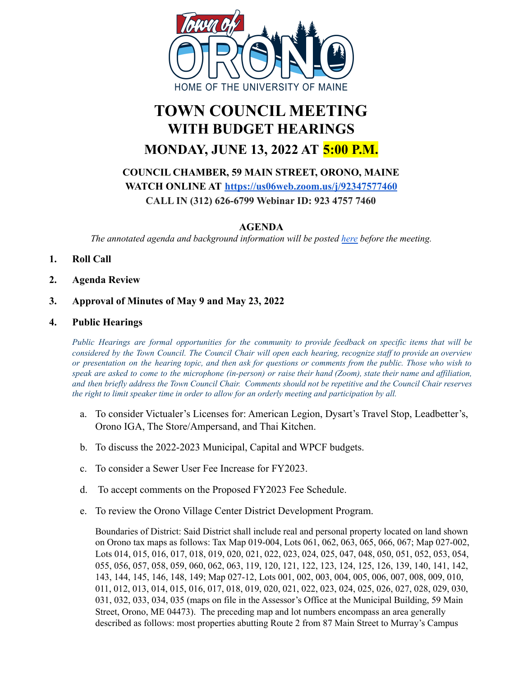

# **TOWN COUNCIL MEETING WITH BUDGET HEARINGS MONDAY, JUNE 13, 2022 AT 5:00 P.M.**

**COUNCIL CHAMBER, 59 MAIN STREET, ORONO, MAINE WATCH ONLINE AT <https://us06web.zoom.us/j/92347577460> CALL IN (312) 626-6799 Webinar ID: 923 4757 7460**

**AGENDA**

*The annotated agenda and background information will be posted [here](https://drive.google.com/drive/folders/10Bz79NOnN54XdpSpEbanWwJ8nIxryn6l) before the meeting.*

- **1. Roll Call**
- **2. Agenda Review**
- **3. Approval of Minutes of May 9 and May 23, 2022**
- **4. Public Hearings**

Public Hearings are formal opportunities for the community to provide feedback on specific items that will be considered by the Town Council. The Council Chair will open each hearing, recognize staff to provide an overview or presentation on the hearing topic, and then ask for questions or comments from the public. Those who wish to speak are asked to come to the microphone (in-person) or raise their hand (Zoom), state their name and affiliation, and then briefly address the Town Council Chair. Comments should not be repetitive and the Council Chair reserves *the right to limit speaker time in order to allow for an orderly meeting and participation by all.*

- a. To consider Victualer's Licenses for: American Legion, Dysart's Travel Stop, Leadbetter's, Orono IGA, The Store/Ampersand, and Thai Kitchen.
- b. To discuss the 2022-2023 Municipal, Capital and WPCF budgets.
- c. To consider a Sewer User Fee Increase for FY2023.
- d. To accept comments on the Proposed FY2023 Fee Schedule.
- e. To review the Orono Village Center District Development Program.

Boundaries of District: Said District shall include real and personal property located on land shown on Orono tax maps as follows: Tax Map 019-004, Lots 061, 062, 063, 065, 066, 067; Map 027-002, Lots 014, 015, 016, 017, 018, 019, 020, 021, 022, 023, 024, 025, 047, 048, 050, 051, 052, 053, 054, 055, 056, 057, 058, 059, 060, 062, 063, 119, 120, 121, 122, 123, 124, 125, 126, 139, 140, 141, 142, 143, 144, 145, 146, 148, 149; Map 027-12, Lots 001, 002, 003, 004, 005, 006, 007, 008, 009, 010, 011, 012, 013, 014, 015, 016, 017, 018, 019, 020, 021, 022, 023, 024, 025, 026, 027, 028, 029, 030, 031, 032, 033, 034, 035 (maps on file in the Assessor's Office at the Municipal Building, 59 Main Street, Orono, ME 04473). The preceding map and lot numbers encompass an area generally described as follows: most properties abutting Route 2 from 87 Main Street to Murray's Campus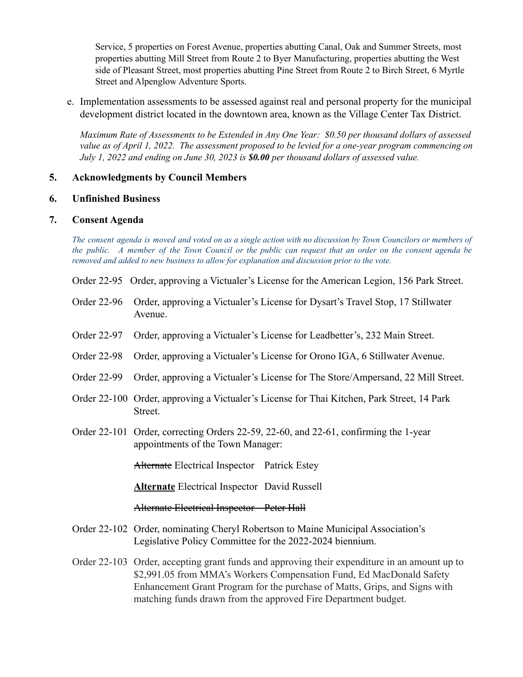Service, 5 properties on Forest Avenue, properties abutting Canal, Oak and Summer Streets, most properties abutting Mill Street from Route 2 to Byer Manufacturing, properties abutting the West side of Pleasant Street, most properties abutting Pine Street from Route 2 to Birch Street, 6 Myrtle Street and Alpenglow Adventure Sports.

e. Implementation assessments to be assessed against real and personal property for the municipal development district located in the downtown area, known as the Village Center Tax District.

*Maximum Rate of Assessments to be Extended in Any One Year: \$0.50 per thousand dollars of assessed* value as of April 1, 2022. The assessment proposed to be levied for a one-year program commencing on *July 1, 2022 and ending on June 30, 2023 is \$0.00 per thousand dollars of assessed value.*

#### **5. Acknowledgments by Council Members**

#### **6. Unfinished Business**

#### **7. Consent Agenda**

The consent agenda is moved and voted on as a single action with no discussion by Town Councilors or members of the public. A member of the Town Council or the public can request that an order on the consent agenda be *removed and added to new business to allow for explanation and discussion prior to the vote.*

- Order 22-95 Order, approving a Victualer's License for the American Legion, 156 Park Street.
- Order 22-96 Order, approving a Victualer's License for Dysart's Travel Stop, 17 Stillwater Avenue.
- Order 22-97 Order, approving a Victualer's License for Leadbetter's, 232 Main Street.
- Order 22-98 Order, approving a Victualer's License for Orono IGA, 6 Stillwater Avenue.
- Order 22-99 Order, approving a Victualer's License for The Store/Ampersand, 22 Mill Street.
- Order 22-100 Order, approving a Victualer's License for Thai Kitchen, Park Street, 14 Park Street.
- Order 22-101 Order, correcting Orders 22-59, 22-60, and 22-61, confirming the 1-year appointments of the Town Manager:

Alternate Electrical Inspector Patrick Estey

**Alternate** Electrical Inspector David Russell

Alternate Electrical Inspector Peter Hall

- Order 22-102 Order, nominating Cheryl Robertson to Maine Municipal Association's Legislative Policy Committee for the 2022-2024 biennium.
- Order 22-103 Order, accepting grant funds and approving their expenditure in an amount up to \$2,991.05 from MMA's Workers Compensation Fund, Ed MacDonald Safety Enhancement Grant Program for the purchase of Matts, Grips, and Signs with matching funds drawn from the approved Fire Department budget.